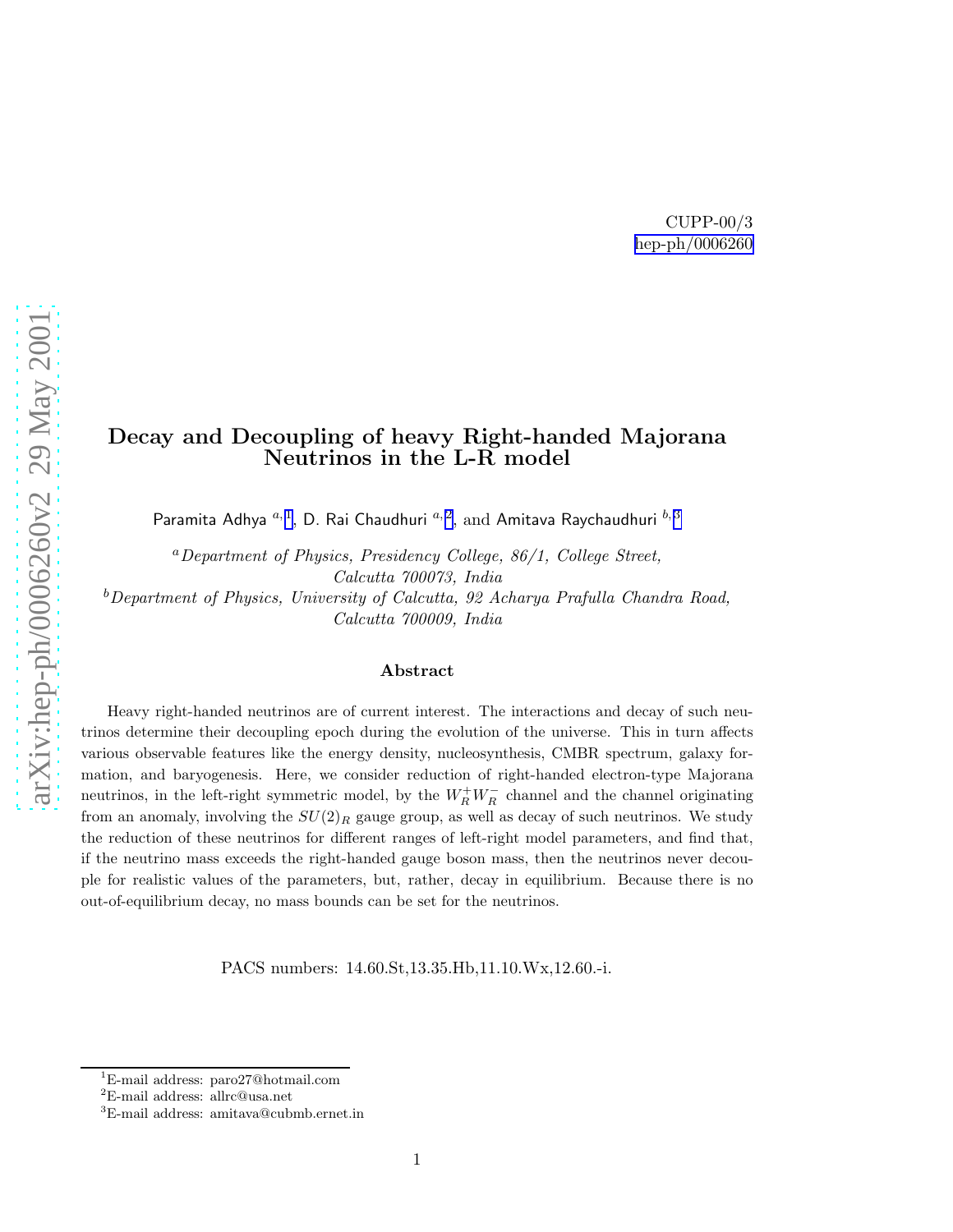# Decay and Decoupling of heavy Right-handed Majorana Neutrinos in the L-R model

Paramita Adhya  $^{a,1},$  D. Rai Chaudhuri  $^{a,2},$  and Amitava Raychaudhuri  $^{b,3}$ 

 ${}^a$ Department of Physics, Presidency College, 86/1, College Street, Calcutta 700073, India  $b$ Department of Physics, University of Calcutta, 92 Acharya Prafulla Chandra Road, Calcutta 700009, India

#### Abstract

Heavy right-handed neutrinos are of current interest. The interactions and decay of such neutrinos determine their decoupling epoch during the evolution of the universe. This in turn affects various observable features like the energy density, nucleosynthesis, CMBR spectrum, galaxy formation, and baryogenesis. Here, we consider reduction of right-handed electron-type Majorana neutrinos, in the left-right symmetric model, by the  $W_R^+W_R^-$  channel and the channel originating from an anomaly, involving the  $SU(2)_R$  gauge group, as well as decay of such neutrinos. We study the reduction of these neutrinos for different ranges of left-right model parameters, and find that, if the neutrino mass exceeds the right-handed gauge boson mass, then the neutrinos never decouple for realistic values of the parameters, but, rather, decay in equilibrium. Because there is no out-of-equilibrium decay, no mass bounds can be set for the neutrinos.

PACS numbers: 14.60.St,13.35.Hb,11.10.Wx,12.60.-i.

<sup>1</sup>E-mail address: paro27@hotmail.com

<sup>2</sup>E-mail address: allrc@usa.net

<sup>3</sup>E-mail address: amitava@cubmb.ernet.in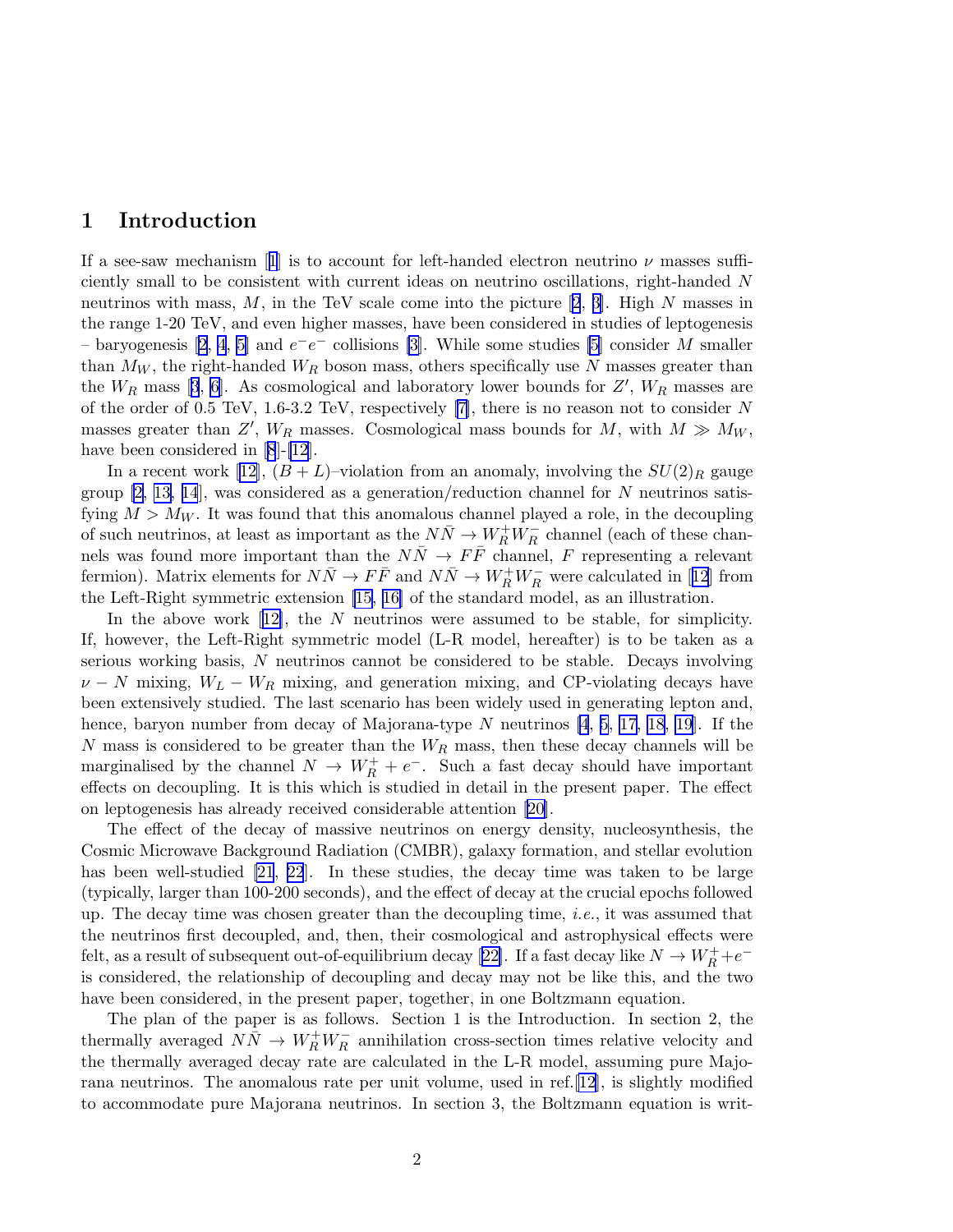## 1 Introduction

Ifa see-saw mechanism [[1](#page-13-0)] is to account for left-handed electron neutrino  $\nu$  masses sufficiently small to be consistent with current ideas on neutrino oscillations, right-handed N neutrinoswith mass, M, in the TeV scale come into the picture [[2](#page-13-0), [3\]](#page-13-0). High N masses in the range 1-20 TeV, and even higher masses, have been considered in studies of leptogenesis  $-$ baryogenesis [[2](#page-13-0), [4](#page-13-0), [5\]](#page-13-0) and  $e^-e^-$  collisions [\[3\]](#page-13-0). While some studies [\[5\]](#page-13-0) consider M smaller than  $M_W$ , the right-handed  $W_R$  boson mass, others specifically use N masses greater than the $W_R$  mass [[3](#page-13-0), [6\]](#page-13-0). As cosmological and laboratory lower bounds for  $Z'$ ,  $W_R$  masses are of the order of 0.5 TeV, 1.6-3.2 TeV, respectively [\[7\]](#page-13-0), there is no reason not to consider N masses greater than Z',  $W_R$  masses. Cosmological mass bounds for M, with  $M \gg M_W$ , have been considered in [\[8](#page-13-0)]-[\[12](#page-13-0)].

In a recent work [\[12\]](#page-13-0),  $(B+L)$ –violation from an anomaly, involving the  $SU(2)_R$  gauge group  $[2, 13, 14]$ , was considered as a generation/reduction channel for N neutrinos satisfying  $M > M_W$ . It was found that this anomalous channel played a role, in the decoupling of such neutrinos, at least as important as the  $N\bar{N}\to W_R^+W_R^-$  channel (each of these channels was found more important than the  $N\bar{N} \rightarrow F\bar{F}$  channel, F representing a relevant fermion).Matrix elements for  $N\bar{N} \to F\bar{F}$  and  $N\bar{N} \to W_R^+W_R^-$  were calculated in [[12](#page-13-0)] from the Left-Right symmetric extension [\[15](#page-14-0), [16\]](#page-14-0) of the standard model, as an illustration.

Inthe above work  $[12]$  $[12]$ , the N neutrinos were assumed to be stable, for simplicity. If, however, the Left-Right symmetric model (L-R model, hereafter) is to be taken as a serious working basis, N neutrinos cannot be considered to be stable. Decays involving  $\nu - N$  mixing,  $W_L - W_R$  mixing, and generation mixing, and CP-violating decays have been extensively studied. The last scenario has been widely used in generating lepton and, hence, baryon number from decay of Majorana-type N neutrinos [\[4](#page-13-0), [5](#page-13-0), [17](#page-14-0), [18](#page-14-0), [19](#page-14-0)]. If the N mass is considered to be greater than the  $W_R$  mass, then these decay channels will be marginalised by the channel  $N \to W_R^+ + e^-$ . Such a fast decay should have important effects on decoupling. It is this which is studied in detail in the present paper. The effect on leptogenesis has already received considerable attention [\[20](#page-14-0)].

The effect of the decay of massive neutrinos on energy density, nucleosynthesis, the Cosmic Microwave Background Radiation (CMBR), galaxy formation, and stellar evolution has been well-studied [\[21](#page-14-0), [22](#page-14-0)]. In these studies, the decay time was taken to be large (typically, larger than 100-200 seconds), and the effect of decay at the crucial epochs followed up. The decay time was chosen greater than the decoupling time, i.e., it was assumed that the neutrinos first decoupled, and, then, their cosmological and astrophysical effects were felt,as a result of subsequent out-of-equilibrium decay [[22\]](#page-14-0). If a fast decay like  $N \to W_R^+ + e^$ is considered, the relationship of decoupling and decay may not be like this, and the two have been considered, in the present paper, together, in one Boltzmann equation.

The plan of the paper is as follows. Section 1 is the Introduction. In section 2, the thermally averaged  $N\bar{N} \rightarrow W_R^+W_R^-$  annihilation cross-section times relative velocity and the thermally averaged decay rate are calculated in the L-R model, assuming pure Majorana neutrinos. The anomalous rate per unit volume, used in ref.[\[12\]](#page-13-0), is slightly modified to accommodate pure Majorana neutrinos. In section 3, the Boltzmann equation is writ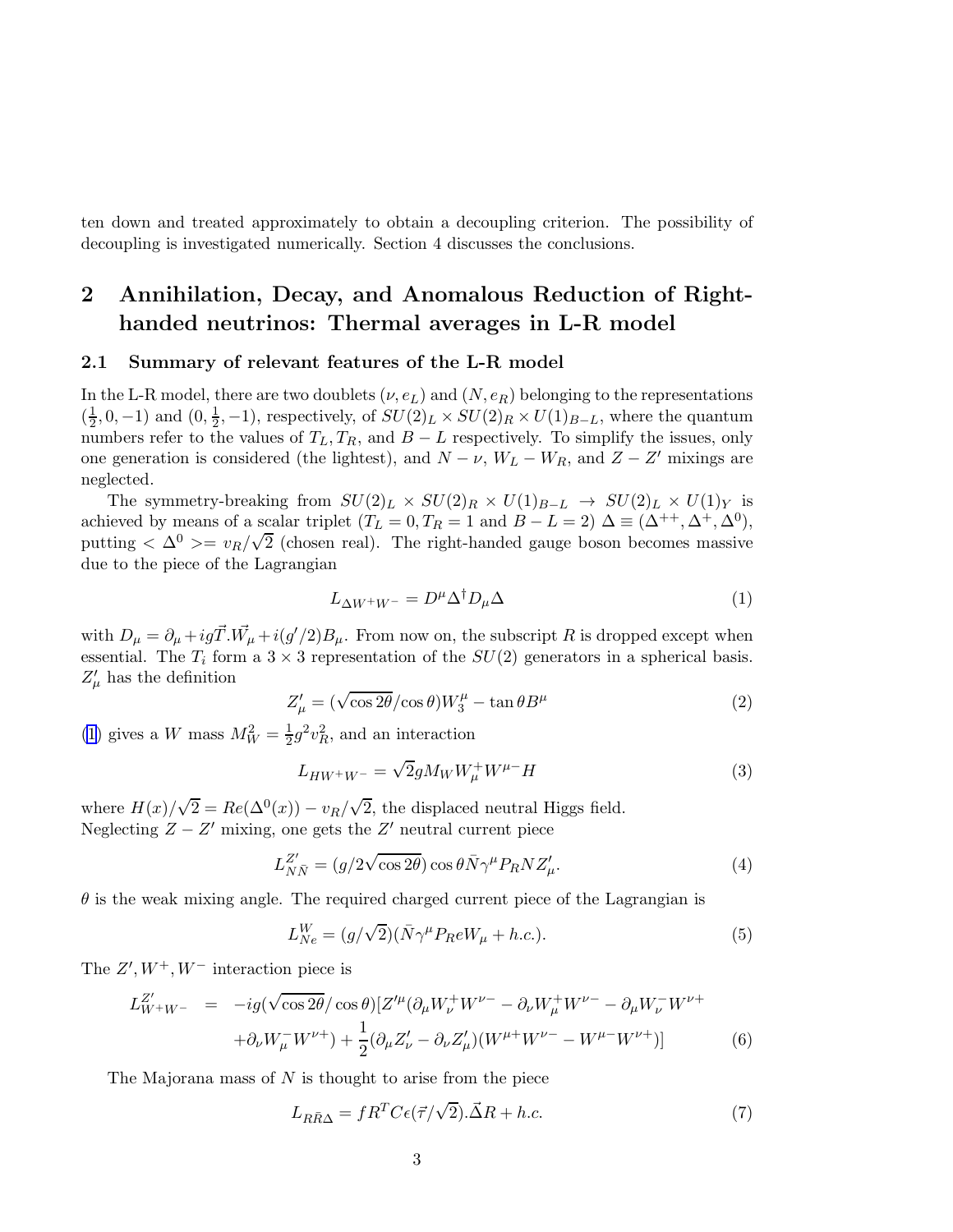<span id="page-2-0"></span>ten down and treated approximately to obtain a decoupling criterion. The possibility of decoupling is investigated numerically. Section 4 discusses the conclusions.

# 2 Annihilation, Decay, and Anomalous Reduction of Righthanded neutrinos: Thermal averages in L-R model

#### 2.1 Summary of relevant features of the L-R model

In the L-R model, there are two doublets  $(\nu, e_L)$  and  $(N, e_R)$  belonging to the representations  $\left(\frac{1}{2}\right)$  $(\frac{1}{2}, 0, -1)$  and  $(0, \frac{1}{2})$  $\frac{1}{2}$ , -1), respectively, of  $SU(2)_L \times SU(2)_R \times U(1)_{B-L}$ , where the quantum numbers refer to the values of  $T_L, T_R$ , and  $B - L$  respectively. To simplify the issues, only one generation is considered (the lightest), and  $N - \nu$ ,  $W_L - W_R$ , and  $Z - Z'$  mixings are neglected.

The symmetry-breaking from  $SU(2)_L \times SU(2)_R \times U(1)_{B-L} \rightarrow SU(2)_L \times U(1)_Y$  is achieved by means of a scalar triplet  $(T_L = 0, T_R = 1 \text{ and } B - L = 2)$   $\Delta \equiv (\Delta^{++}, \Delta^+, \Delta^0),$ putting  $\langle \Delta^0 \rangle = v_R / \sqrt{2}$  (chosen real). The right-handed gauge boson becomes massive due to the piece of the Lagrangian

$$
L_{\Delta W^{+}W^{-}} = D^{\mu} \Delta^{\dagger} D_{\mu} \Delta \tag{1}
$$

with  $D_{\mu} = \partial_{\mu} + ig \vec{T} \cdot \vec{W}_{\mu} + i(g'/2)B_{\mu}$ . From now on, the subscript R is dropped except when essential. The  $T_i$  form a  $3 \times 3$  representation of the  $SU(2)$  generators in a spherical basis.  $Z^{\prime}_{\mu}$  has the definition

$$
Z'_{\mu} = (\sqrt{\cos 2\theta}/\cos \theta)W_3^{\mu} - \tan \theta B^{\mu}
$$
 (2)

(1) gives a W mass  $M_W^2 = \frac{1}{2}$  $\frac{1}{2}g^2v_R^2$ , and an interaction

$$
L_{HW^+W^-} = \sqrt{2}gM_W W^+_\mu W^{\mu-}H\tag{3}
$$

where  $H(x)/\sqrt{2} = Re(\Delta^0(x)) - v_R/\sqrt{2}$ , the displaced neutral Higgs field. Neglecting  $Z - Z'$  mixing, one gets the  $Z'$  neutral current piece

$$
L_{N\bar{N}}^{Z'} = (g/2\sqrt{\cos 2\theta})\cos\theta\bar{N}\gamma^{\mu}P_RNZ'_{\mu}.
$$
 (4)

 $\theta$  is the weak mixing angle. The required charged current piece of the Lagrangian is

$$
L_{Ne}^W = (g/\sqrt{2})(\bar{N}\gamma^{\mu}P_R eW_{\mu} + h.c.). \tag{5}
$$

The  $Z', W^+, W^-$  interaction piece is

$$
L_{W^+W^-}^{Z'} = -ig(\sqrt{\cos 2\theta}/\cos \theta)[Z'^{\mu}(\partial_{\mu}W_{\nu}^+W^{\nu-} - \partial_{\nu}W_{\mu}^+W^{\nu-} - \partial_{\mu}W_{\nu}^-W^{\nu+} + \partial_{\nu}W_{\mu}^-W^{\nu+}) + \frac{1}{2}(\partial_{\mu}Z'_{\nu} - \partial_{\nu}Z'_{\mu})(W^{\mu+}W^{\nu-} - W^{\mu-}W^{\nu+})]
$$
(6)

The Majorana mass of  $N$  is thought to arise from the piece

$$
L_{R\bar{R}\Delta} = fR^{T}C\epsilon(\vec{\tau}/\sqrt{2}).\vec{\Delta}R + h.c.
$$
 (7)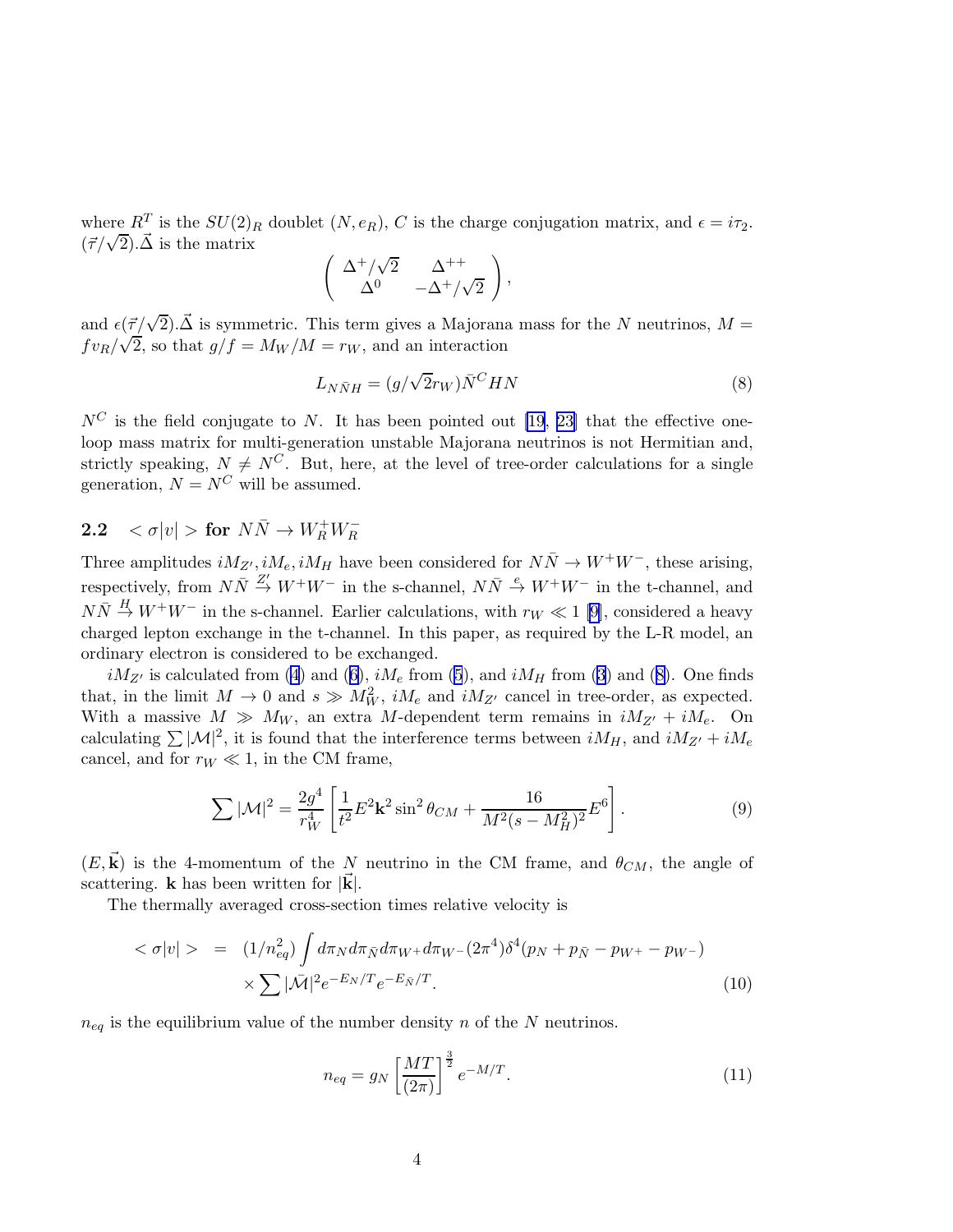<span id="page-3-0"></span>where  $R^T$  is the  $SU(2)_R$  doublet  $(N, e_R)$ , C is the charge conjugation matrix, and  $\epsilon = i\tau_2$ .  $(\vec{\tau}/\sqrt{2})\cdot\vec{\Delta}$  is the matrix

$$
\left(\begin{array}{cc} \Delta^+/\sqrt{2} & \Delta^{++} \\ \Delta^0 & -\Delta^+/\sqrt{2} \end{array}\right),
$$

and  $\epsilon(\vec{\tau}/\sqrt{2})$ . $\vec{\Delta}$  is symmetric. This term gives a Majorana mass for the N neutrinos,  $M =$  $f v_R / \sqrt{2}$ , so that  $g/f = M_W / M = r_W$ , and an interaction

$$
L_{N\bar{N}H} = (g/\sqrt{2}r_W)\bar{N}^C H N \tag{8}
$$

 $N^C$  is the field conjugate to N. It has been pointed out [\[19](#page-14-0), [23\]](#page-14-0) that the effective oneloop mass matrix for multi-generation unstable Majorana neutrinos is not Hermitian and, strictly speaking,  $N \neq N^C$ . But, here, at the level of tree-order calculations for a single generation,  $N = N^C$  will be assumed.

# 2.2  $\langle \sigma | v | > \textbf{for } N \bar{N} \rightarrow W_R^+ W_R^-$

Three amplitudes  $iM_{Z'}$ ,  $iM_e$ ,  $iM_H$  have been considered for  $N\bar{N} \rightarrow W^+W^-$ , these arising, respectively, from  $N\overline{N} \stackrel{Z'}{\rightarrow} W^+W^-$  in the s-channel,  $N\overline{N} \stackrel{e}{\rightarrow} W^+W^-$  in the t-channel, and  $N\bar{N} \stackrel{H}{\rightarrow} W^{+}W^{-}$  in the s-channel. Earlier calculations, with  $r_W \ll 1$  [\[9\]](#page-13-0), considered a heavy charged lepton exchange in the t-channel. In this paper, as required by the L-R model, an ordinary electron is considered to be exchanged.

 $iM_{Z'}$ is calculated from ([4](#page-2-0)) and ([6](#page-2-0)),  $iM_e$  from [\(5](#page-2-0)), and  $iM_H$  from ([3](#page-2-0)) and (8). One finds that, in the limit  $M \to 0$  and  $s \gg M_W^2$ ,  $iM_e$  and  $iM_{Z'}$  cancel in tree-order, as expected. With a massive  $M \gg M_W$ , an extra M-dependent term remains in  $iM_{Z'} + iM_e$ . On calculating  $\sum |\mathcal{M}|^2$ , it is found that the interference terms between  $iM_H$ , and  $iM_{Z'} + iM_e$ cancel, and for  $r_W \ll 1$ , in the CM frame,

$$
\sum |\mathcal{M}|^2 = \frac{2g^4}{r_W^4} \left[ \frac{1}{t^2} E^2 \mathbf{k}^2 \sin^2 \theta_{CM} + \frac{16}{M^2 (s - M_H^2)^2} E^6 \right].
$$
 (9)

 $(E, \vec{k})$  is the 4-momentum of the N neutrino in the CM frame, and  $\theta_{CM}$ , the angle of scattering. **k** has been written for  $|\vec{k}|$ .

The thermally averaged cross-section times relative velocity is

$$
\langle \sigma | v | \rangle = (1/n_{eq}^2) \int d\pi_N d\pi_{\bar{N}} d\pi_{W^+} d\pi_{W^-} (2\pi^4) \delta^4(p_N + p_{\bar{N}} - p_{W^+} - p_{W^-})
$$
  
 
$$
\times \sum |\bar{M}|^2 e^{-E_N/T} e^{-E_{\bar{N}}/T}.
$$
 (10)

 $n_{eq}$  is the equilibrium value of the number density n of the N neutrinos.

$$
n_{eq} = g_N \left[\frac{MT}{(2\pi)}\right]^{\frac{3}{2}} e^{-M/T}.\tag{11}
$$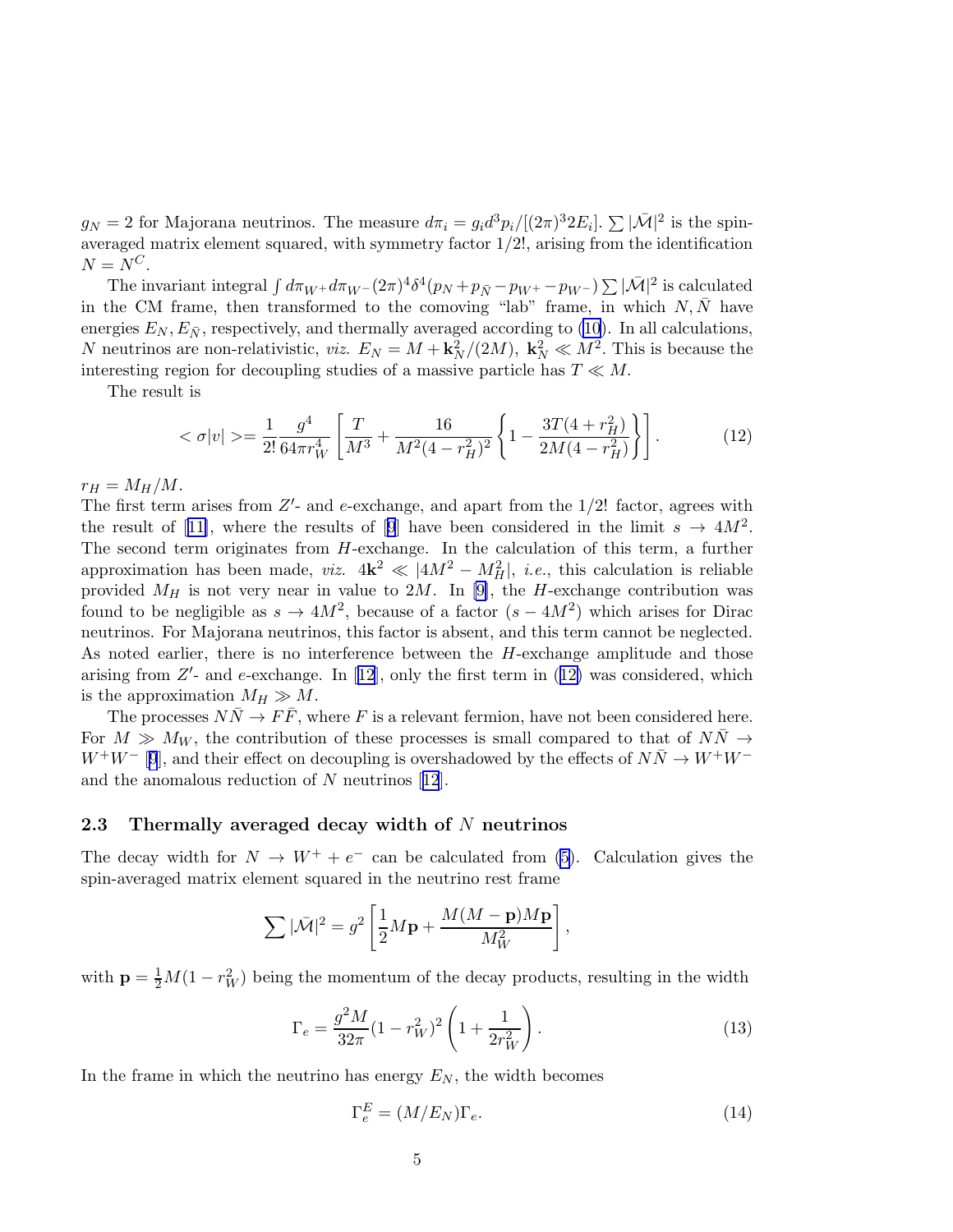<span id="page-4-0"></span> $g_N = 2$  for Majorana neutrinos. The measure  $d\pi_i = g_i d^3 p_i/[(2\pi)^3 2E_i]$ .  $\sum |\bar{\mathcal{M}}|^2$  is the spinaveraged matrix element squared, with symmetry factor 1/2!, arising from the identification  $N = N^C$ .

The invariant integral  $\int d\pi_{W^+} d\pi_{W^-}(2\pi)^4 \delta^4(p_N+p_{\bar{N}}-p_{W^+}-p_{W^-}) \sum |\bar{\mathcal{M}}|^2$  is calculated in the CM frame, then transformed to the comoving "lab" frame, in which  $N, \overline{N}$  have energies  $E_N, E_{\bar{N}}$ , respectively, and thermally averaged according to [\(10](#page-3-0)). In all calculations, N neutrinos are non-relativistic, *viz.*  $E_N = M + \frac{k_N^2}{2M}$ ,  $\frac{k_N^2}{2M} \ll M^2$ . This is because the interesting region for decoupling studies of a massive particle has  $T \ll M$ .

The result is

$$
\langle \sigma | v | \rangle = \frac{1}{2!} \frac{g^4}{64\pi r_W^4} \left[ \frac{T}{M^3} + \frac{16}{M^2 (4 - r_H^2)^2} \left\{ 1 - \frac{3T (4 + r_H^2)}{2M (4 - r_H^2)} \right\} \right]. \tag{12}
$$

 $r_H = M_H/M$ .

The first term arises from  $Z'$ - and e-exchange, and apart from the  $1/2$ ! factor, agrees with theresult of [[11\]](#page-13-0), where the results of [\[9](#page-13-0)] have been considered in the limit  $s \to 4M^2$ . The second term originates from H-exchange. In the calculation of this term, a further approximation has been made, *viz.*  $4k^2 \ll |4M^2 - M_H^2|$ , *i.e.*, this calculation is reliable provided  $M_H$  is not very near in value to 2M. In [\[9\]](#page-13-0), the H-exchange contribution was found to be negligible as  $s \to 4M^2$ , because of a factor  $(s - 4M^2)$  which arises for Dirac neutrinos. For Majorana neutrinos, this factor is absent, and this term cannot be neglected. As noted earlier, there is no interference between the H-exchange amplitude and those arising from  $Z'$ - and e-exchange. In [\[12\]](#page-13-0), only the first term in (12) was considered, which is the approximation  $M_H \gg M$ .

The processes  $N\bar{N} \to F\bar{F}$ , where F is a relevant fermion, have not been considered here. For  $M \gg M_W$ , the contribution of these processes is small compared to that of  $N\bar{N} \rightarrow$  $W^+W^-$  [[9](#page-13-0)], and their effect on decoupling is overshadowed by the effects of  $N\bar{N} \to W^+W^$ and the anomalous reduction of N neutrinos[[12](#page-13-0)].

#### 2.3 Thermally averaged decay width of  $N$  neutrinos

The decay width for  $N \to W^+ + e^-$  can be calculated from [\(5\)](#page-2-0). Calculation gives the spin-averaged matrix element squared in the neutrino rest frame

$$
\sum |\bar{\mathcal{M}}|^2 = g^2 \left[ \frac{1}{2} M \mathbf{p} + \frac{M(M - \mathbf{p}) M \mathbf{p}}{M_W^2} \right]
$$

with  $\mathbf{p} = \frac{1}{2}M(1 - r_W^2)$  being the momentum of the decay products, resulting in the width

$$
\Gamma_e = \frac{g^2 M}{32\pi} (1 - r_W^2)^2 \left( 1 + \frac{1}{2r_W^2} \right). \tag{13}
$$

In the frame in which the neutrino has energy  $E_N$ , the width becomes

$$
\Gamma_e^E = (M/E_N)\Gamma_e. \tag{14}
$$

,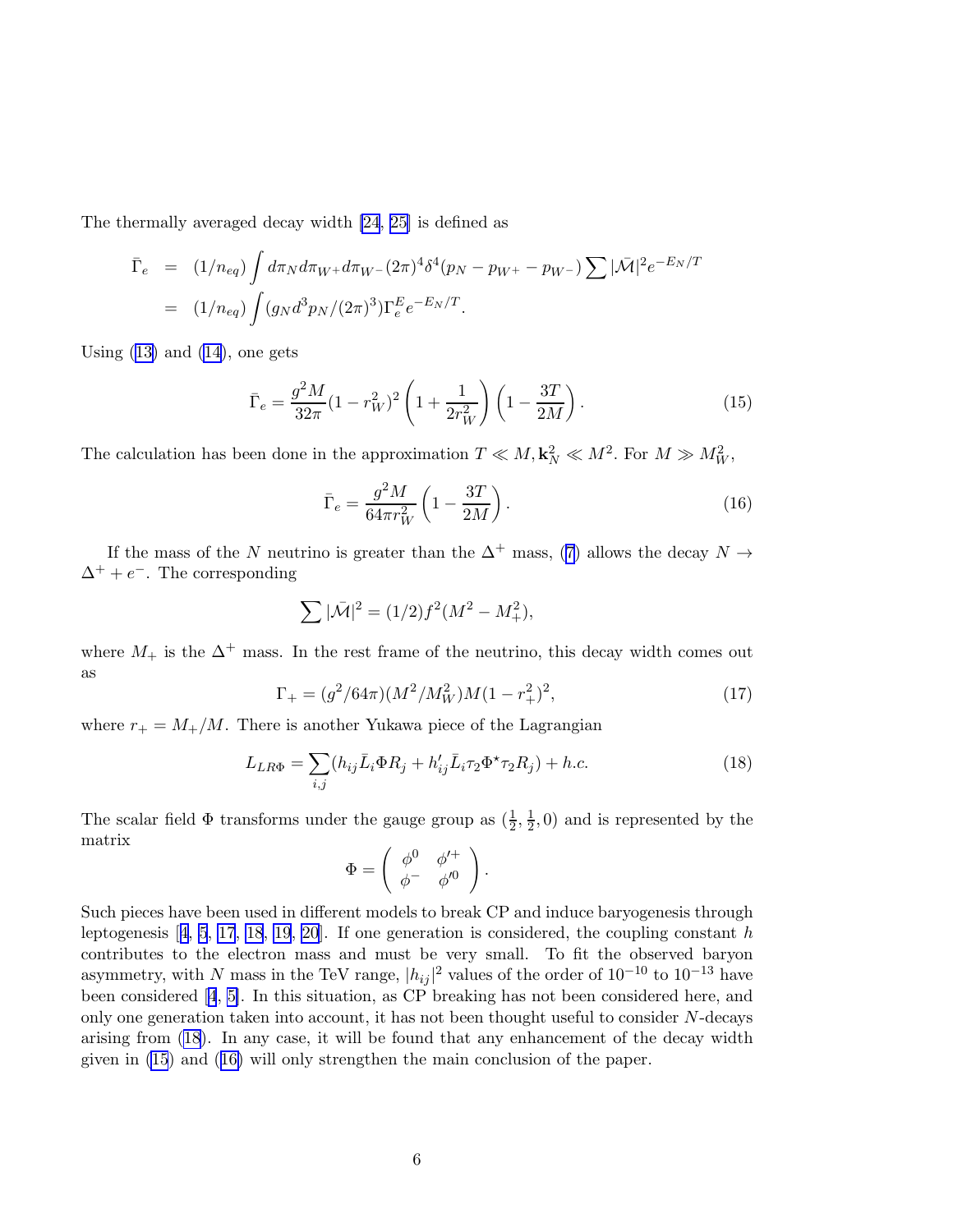<span id="page-5-0"></span>The thermally averaged decay width [\[24](#page-14-0), [25\]](#page-14-0) is defined as

$$
\begin{array}{rcl}\n\bar{\Gamma}_e & = & (1/n_{eq}) \int d\pi_N d\pi_{W^+} d\pi_{W^-} (2\pi)^4 \delta^4(p_N - p_{W^+} - p_{W^-}) \sum |\bar{\mathcal{M}}|^2 e^{-E_N/T} \\
& = & (1/n_{eq}) \int (g_N d^3 p_N / (2\pi)^3) \Gamma_e^E e^{-E_N/T}.\n\end{array}
$$

Using  $(13)$  and  $(14)$ , one gets

$$
\bar{\Gamma}_e = \frac{g^2 M}{32\pi} (1 - r_W^2)^2 \left( 1 + \frac{1}{2r_W^2} \right) \left( 1 - \frac{3T}{2M} \right). \tag{15}
$$

The calculation has been done in the approximation  $T \ll M$ ,  $\mathbf{k}_N^2 \ll M^2$ . For  $M \gg M_W^2$ ,

$$
\bar{\Gamma}_e = \frac{g^2 M}{64\pi r_W^2} \left( 1 - \frac{3T}{2M} \right). \tag{16}
$$

Ifthe mass of the N neutrino is greater than the  $\Delta^+$  mass, ([7](#page-2-0)) allows the decay  $N \rightarrow$  $\Delta^+ + e^-$ . The corresponding

$$
\sum |\bar{M}|^2 = (1/2)f^2(M^2 - M_+^2),
$$

where  $M_+$  is the  $\Delta^+$  mass. In the rest frame of the neutrino, this decay width comes out as

$$
\Gamma_{+} = (g^2/64\pi)(M^2/M_W^2)M(1 - r_+^2)^2,
$$
\n(17)

where  $r_{+} = M_{+}/M$ . There is another Yukawa piece of the Lagrangian

$$
L_{LR\Phi} = \sum_{i,j} (h_{ij}\bar{L}_i \Phi R_j + h'_{ij}\bar{L}_i \tau_2 \Phi^* \tau_2 R_j) + h.c.
$$
 (18)

The scalar field  $\Phi$  transforms under the gauge group as  $(\frac{1}{2}, \frac{1}{2})$  $(\frac{1}{2}, 0)$  and is represented by the matrix

$$
\Phi = \left( \begin{array}{cc} \phi^0 & \phi'^+ \\ \phi^- & \phi'^0 \end{array} \right).
$$

Such pieces have been used in different models to break CP and induce baryogenesis through leptogenesis $[4, 5, 17, 18, 19, 20]$  $[4, 5, 17, 18, 19, 20]$  $[4, 5, 17, 18, 19, 20]$  $[4, 5, 17, 18, 19, 20]$  $[4, 5, 17, 18, 19, 20]$  $[4, 5, 17, 18, 19, 20]$  $[4, 5, 17, 18, 19, 20]$  $[4, 5, 17, 18, 19, 20]$  $[4, 5, 17, 18, 19, 20]$  $[4, 5, 17, 18, 19, 20]$  $[4, 5, 17, 18, 19, 20]$ . If one generation is considered, the coupling constant h contributes to the electron mass and must be very small. To fit the observed baryon asymmetry, with N mass in the TeV range,  $|h_{ij}|^2$  values of the order of  $10^{-10}$  to  $10^{-13}$  have been considered [\[4](#page-13-0), [5\]](#page-13-0). In this situation, as CP breaking has not been considered here, and only one generation taken into account, it has not been thought useful to consider N-decays arising from (18). In any case, it will be found that any enhancement of the decay width given in (15) and (16) will only strengthen the main conclusion of the paper.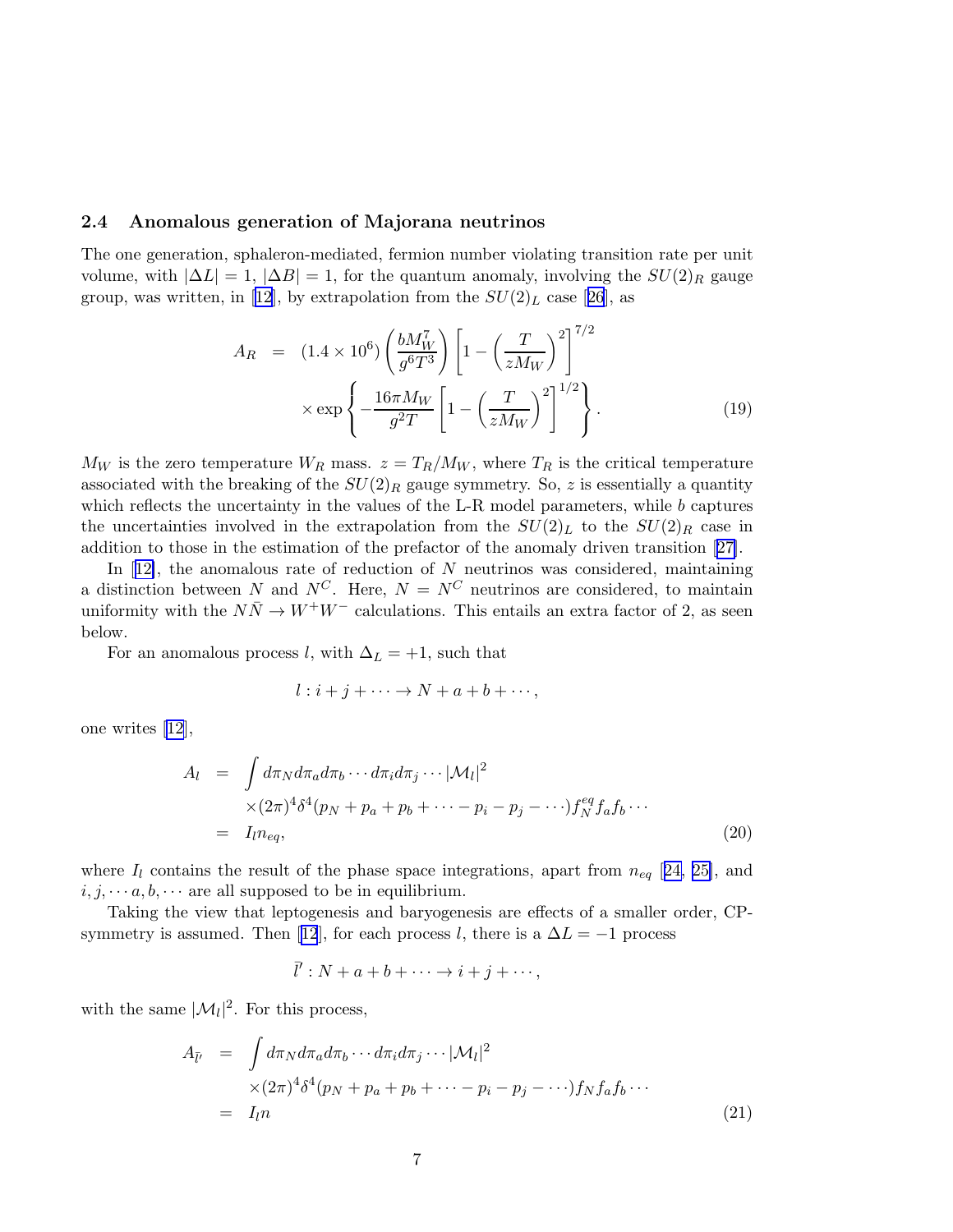#### 2.4 Anomalous generation of Majorana neutrinos

The one generation, sphaleron-mediated, fermion number violating transition rate per unit volume, with  $|\Delta L| = 1$ ,  $|\Delta B| = 1$ , for the quantum anomaly, involving the  $SU(2)_R$  gauge group, was written, in [\[12\]](#page-13-0),by extrapolation from the  $SU(2)_L$  case [[26](#page-14-0)], as

$$
A_R = (1.4 \times 10^6) \left(\frac{bM_W^7}{g^6 T^3}\right) \left[1 - \left(\frac{T}{zM_W}\right)^2\right]^{7/2} \times \exp\left\{-\frac{16\pi M_W}{g^2 T} \left[1 - \left(\frac{T}{zM_W}\right)^2\right]^{1/2}\right\}.
$$
 (19)

 $M_W$  is the zero temperature  $W_R$  mass.  $z = T_R/M_W$ , where  $T_R$  is the critical temperature associated with the breaking of the  $SU(2)_R$  gauge symmetry. So, z is essentially a quantity which reflects the uncertainty in the values of the L-R model parameters, while  $b$  captures the uncertainties involved in the extrapolation from the  $SU(2)_L$  to the  $SU(2)_R$  case in addition to those in the estimation of the prefactor of the anomaly driven transition[[27\]](#page-14-0).

In $[12]$  $[12]$ , the anomalous rate of reduction of N neutrinos was considered, maintaining a distinction between N and  $N^C$ . Here,  $N = N^C$  neutrinos are considered, to maintain uniformity with the  $N\bar{N} \rightarrow W^{+}W^{-}$  calculations. This entails an extra factor of 2, as seen below.

For an anomalous process l, with  $\Delta_L = +1$ , such that

$$
l: i+j+\cdots \to N+a+b+\cdots,
$$

one writes [\[12](#page-13-0)],

$$
A_{l} = \int d\pi_{N} d\pi_{a} d\pi_{b} \cdots d\pi_{i} d\pi_{j} \cdots |\mathcal{M}_{l}|^{2}
$$
  
 
$$
\times (2\pi)^{4} \delta^{4}(p_{N} + p_{a} + p_{b} + \cdots - p_{i} - p_{j} - \cdots) f_{N}^{eq} f_{a} f_{b} \cdots
$$
  
=  $I_{l} n_{eq},$  (20)

where  $I_l$  contains the result of the phase space integrations, apart from  $n_{eq}$  [[24, 25\]](#page-14-0), and  $i, j, \dots a, b, \dots$  are all supposed to be in equilibrium.

Taking the view that leptogenesis and baryogenesis are effects of a smaller order, CP-symmetryis assumed. Then [[12](#page-13-0)], for each process l, there is a  $\Delta L = -1$  process

$$
\bar{l}':N+a+b+\cdots\to i+j+\cdots,
$$

with the same  $|\mathcal{M}_l|^2$ . For this process,

$$
A_{\bar{l}'} = \int d\pi_N d\pi_a d\pi_b \cdots d\pi_i d\pi_j \cdots |\mathcal{M}_l|^2
$$
  
\n
$$
\times (2\pi)^4 \delta^4(p_N + p_a + p_b + \cdots - p_i - p_j - \cdots) f_N f_a f_b \cdots
$$
  
\n
$$
= I_{l} n
$$
\n(21)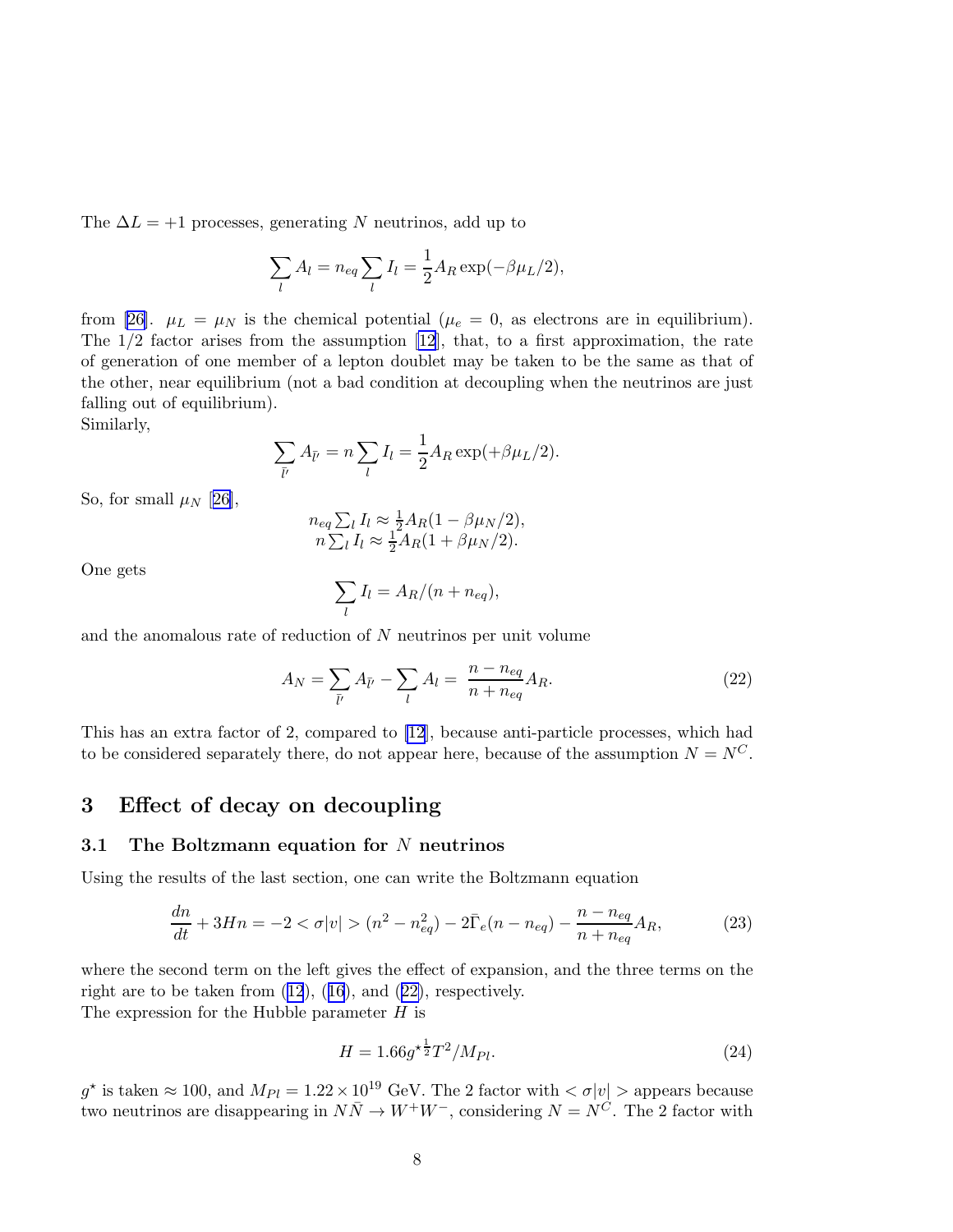<span id="page-7-0"></span>The  $\Delta L = +1$  processes, generating N neutrinos, add up to

$$
\sum_l A_l = n_{eq} \sum_l I_l = \frac{1}{2} A_R \exp(-\beta \mu_L/2),
$$

from[[26\]](#page-14-0).  $\mu_L = \mu_N$  is the chemical potential ( $\mu_e = 0$ , as electrons are in equilibrium). The  $1/2$  factor arises from the assumption  $[12]$ , that, to a first approximation, the rate of generation of one member of a lepton doublet may be taken to be the same as that of the other, near equilibrium (not a bad condition at decoupling when the neutrinos are just falling out of equilibrium).

Similarly,

$$
\sum_{\bar{l}'} A_{\bar{l}'} = n \sum_{l} I_{l} = \frac{1}{2} A_{R} \exp(+\beta \mu_{L}/2).
$$

So, for small  $\mu_N$  [[26\]](#page-14-0),

$$
n_{eq} \sum_{l} I_{l} \approx \frac{1}{2} A_{R} (1 - \beta \mu_{N}/2),
$$
  

$$
n \sum_{l} I_{l} \approx \frac{1}{2} A_{R} (1 + \beta \mu_{N}/2).
$$

One gets

$$
\sum_l I_l = A_R/(n + n_{eq}),
$$

and the anomalous rate of reduction of N neutrinos per unit volume

$$
A_N = \sum_{\bar{l}'} A_{\bar{l}'} - \sum_{l} A_l = \frac{n - n_{eq}}{n + n_{eq}} A_R.
$$
 (22)

This has an extra factor of 2, compared to [\[12](#page-13-0)], because anti-particle processes, which had to be considered separately there, do not appear here, because of the assumption  $N = N^C$ .

# 3 Effect of decay on decoupling

#### 3.1 The Boltzmann equation for  $N$  neutrinos

Using the results of the last section, one can write the Boltzmann equation

$$
\frac{dn}{dt} + 3Hn = -2 < \sigma|v| > (n^2 - n_{eq}^2) - 2\bar{\Gamma}_e(n - n_{eq}) - \frac{n - n_{eq}}{n + n_{eq}}A_R,\tag{23}
$$

where the second term on the left gives the effect of expansion, and the three terms on the right are to be taken from([12](#page-4-0)),([16](#page-5-0)), and (22), respectively.

The expression for the Hubble parameter  $H$  is

$$
H = 1.66g^{\star \frac{1}{2}}T^2/M_{Pl}.\tag{24}
$$

 $g^*$  is taken  $\approx 100$ , and  $M_{Pl} = 1.22 \times 10^{19}$  GeV. The 2 factor with  $\langle \sigma | v | \rangle$  appears because two neutrinos are disappearing in  $N\overline{N} \to W^+W^-$ , considering  $N = N^C$ . The 2 factor with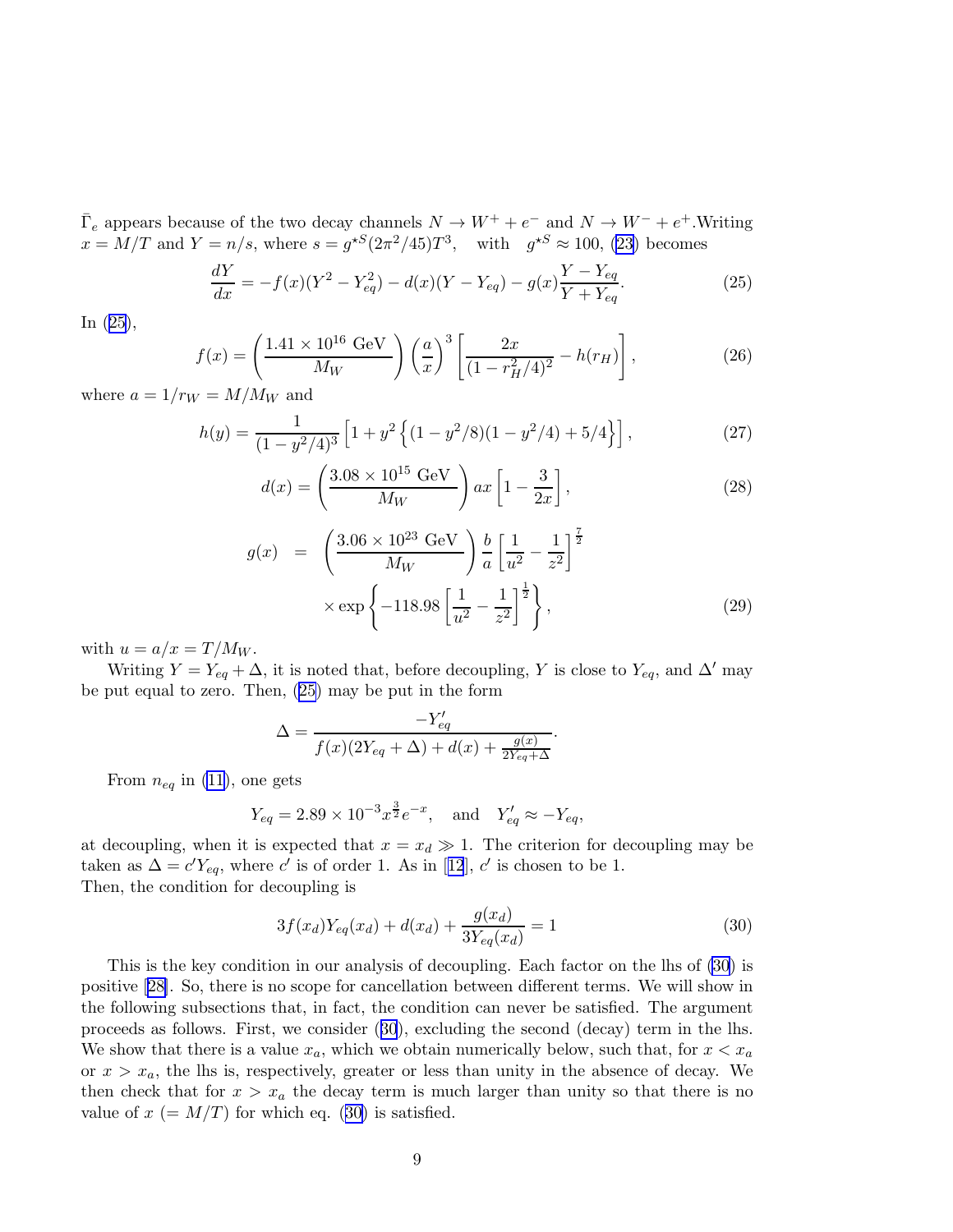<span id="page-8-0"></span> $\overline{\Gamma}_e$  appears because of the two decay channels  $N \to W^+ + e^-$  and  $N \to W^- + e^+$ . Writing  $x = M/T$  and  $Y = n/s$ , where  $s = g^{*S}(2\pi^2/45)T^3$ , with  $g^{*S} \approx 100$ , [\(23](#page-7-0)) becomes

$$
\frac{dY}{dx} = -f(x)(Y^2 - Y_{eq}^2) - d(x)(Y - Y_{eq}) - g(x)\frac{Y - Y_{eq}}{Y + Y_{eq}}.\tag{25}
$$

In (25),

$$
f(x) = \left(\frac{1.41 \times 10^{16} \text{ GeV}}{M_W}\right) \left(\frac{a}{x}\right)^3 \left[\frac{2x}{(1 - r_H^2/4)^2} - h(r_H)\right],\tag{26}
$$

where  $a = 1/r_W = M/M_W$  and

$$
h(y) = \frac{1}{(1 - y^2/4)^3} \left[ 1 + y^2 \left\{ (1 - y^2/8)(1 - y^2/4) + 5/4 \right\} \right],
$$
 (27)

$$
d(x) = \left(\frac{3.08 \times 10^{15} \text{ GeV}}{M_W}\right) ax \left[1 - \frac{3}{2x}\right],\tag{28}
$$

$$
g(x) = \left(\frac{3.06 \times 10^{23} \text{ GeV}}{M_W}\right) \frac{b}{a} \left[\frac{1}{u^2} - \frac{1}{z^2}\right]^{\frac{7}{2}}
$$

$$
\times \exp\left\{-118.98\left[\frac{1}{u^2} - \frac{1}{z^2}\right]^{\frac{1}{2}}\right\},\tag{29}
$$

with  $u = a/x = T/M_W$ .

Writing  $Y = Y_{eq} + \Delta$ , it is noted that, before decoupling, Y is close to  $Y_{eq}$ , and  $\Delta'$  may be put equal to zero. Then, (25) may be put in the form

$$
\Delta = \frac{-Y'_{eq}}{f(x)(2Y_{eq} + \Delta) + d(x) + \frac{g(x)}{2Y_{eq} + \Delta}}.
$$

From  $n_{eq}$  in [\(11](#page-3-0)), one gets

$$
Y_{eq} = 2.89 \times 10^{-3} x^{\frac{3}{2}} e^{-x}
$$
, and  $Y'_{eq} \approx -Y_{eq}$ ,

at decoupling, when it is expected that  $x = x_d \gg 1$ . The criterion for decoupling may be takenas  $\Delta = c'Y_{eq}$ , where c' is of order 1. As in [[12](#page-13-0)], c' is chosen to be 1. Then, the condition for decoupling is

$$
3f(x_d)Y_{eq}(x_d) + d(x_d) + \frac{g(x_d)}{3Y_{eq}(x_d)} = 1
$$
\n(30)

This is the key condition in our analysis of decoupling. Each factor on the lhs of (30) is positive[[28\]](#page-14-0). So, there is no scope for cancellation between different terms. We will show in the following subsections that, in fact, the condition can never be satisfied. The argument proceeds as follows. First, we consider (30), excluding the second (decay) term in the lhs. We show that there is a value  $x_a$ , which we obtain numerically below, such that, for  $x < x_a$ or  $x > x_a$ , the lhs is, respectively, greater or less than unity in the absence of decay. We then check that for  $x > x_a$  the decay term is much larger than unity so that there is no value of  $x (= M/T)$  for which eq. (30) is satisfied.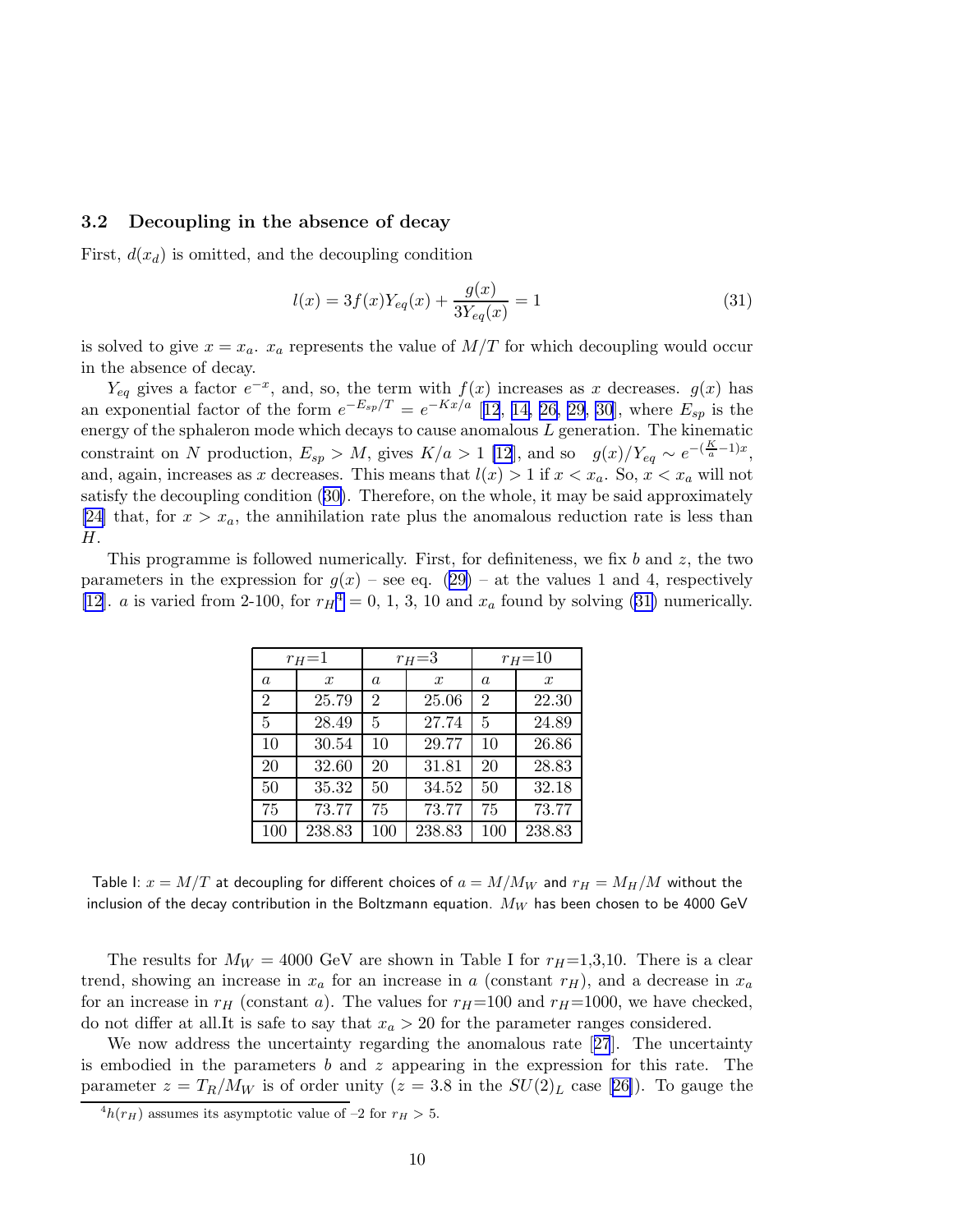#### <span id="page-9-0"></span>3.2 Decoupling in the absence of decay

First,  $d(x_d)$  is omitted, and the decoupling condition

$$
l(x) = 3f(x)Y_{eq}(x) + \frac{g(x)}{3Y_{eq}(x)} = 1
$$
\n(31)

is solved to give  $x = x_a$ .  $x_a$  represents the value of  $M/T$  for which decoupling would occur in the absence of decay.

 $Y_{eq}$  gives a factor  $e^{-x}$ , and, so, the term with  $f(x)$  increases as x decreases.  $g(x)$  has an exponential factor of the form  $e^{-E_{sp}/T} = e^{-Kx/a}$  [[12](#page-13-0), [14,](#page-13-0) [26,](#page-14-0) [29, 30](#page-15-0)], where  $E_{sp}$  is the energy of the sphaleron mode which decays to cause anomalous  $L$  generation. The kinematic constraint on N production,  $E_{sp} > M$ , gives  $K/a > 1$  [\[12](#page-13-0)], and so  $g(x)/Y_{eq} \sim e^{-(\frac{K}{a}-1)x}$ , and, again, increases as x decreases. This means that  $l(x) > 1$  if  $x < x_a$ . So,  $x < x_a$  will not satisfy the decoupling condition([30\)](#page-8-0). Therefore, on the whole, it may be said approximately [\[24\]](#page-14-0) that, for  $x > x_a$ , the annihilation rate plus the anomalous reduction rate is less than H.

This programme is followed numerically. First, for definiteness, we fix b and  $z$ , the two parametersin the expression for  $g(x)$  – see eq. ([29\)](#page-8-0) – at the values 1 and 4, respectively [\[12](#page-13-0)]. *a* is varied from 2-100, for  $r_H^4 = 0$ , 1, 3, 10 and  $x_a$  found by solving (31) numerically.

| $r_H=1$          |                  | $r_H=3$        |                  | $r_{H} = 10$   |                  |
|------------------|------------------|----------------|------------------|----------------|------------------|
| $\boldsymbol{a}$ | $\boldsymbol{x}$ | $\alpha$       | $\boldsymbol{x}$ | a              | $\boldsymbol{x}$ |
| $\overline{2}$   | 25.79            | $\overline{2}$ | 25.06            | $\overline{2}$ | 22.30            |
| 5                | 28.49            | 5              | 27.74            | 5              | 24.89            |
| 10               | 30.54            | 10             | 29.77            | 10             | 26.86            |
| 20               | 32.60            | 20             | 31.81            | 20             | 28.83            |
| 50               | 35.32            | 50             | 34.52            | 50             | 32.18            |
| 75               | 73.77            | 75             | 73.77            | 75             | 73.77            |
| 100              | 238.83           | 100            | 238.83           | 100            | 238.83           |

Table I:  $x = M/T$  at decoupling for different choices of  $a = M/M_W$  and  $r_H = M_H/M$  without the inclusion of the decay contribution in the Boltzmann equation.  $M_W$  has been chosen to be 4000 GeV

The results for  $M_W = 4000$  GeV are shown in Table I for  $r_H=1,3,10$ . There is a clear trend, showing an increase in  $x_a$  for an increase in a (constant  $r_H$ ), and a decrease in  $x_a$ for an increase in  $r_H$  (constant a). The values for  $r_H$ =100 and  $r_H$ =1000, we have checked, do not differ at all.It is safe to say that  $x_a > 20$  for the parameter ranges considered.

We now address the uncertainty regarding the anomalous rate [[27](#page-14-0)]. The uncertainty is embodied in the parameters b and z appearing in the expression for this rate. The parameter $z = T_R/M_W$  is of order unity  $(z = 3.8$  in the  $SU(2)_L$  case [[26\]](#page-14-0)). To gauge the

 ${}^4h(r_H)$  assumes its asymptotic value of -2 for  $r_H > 5$ .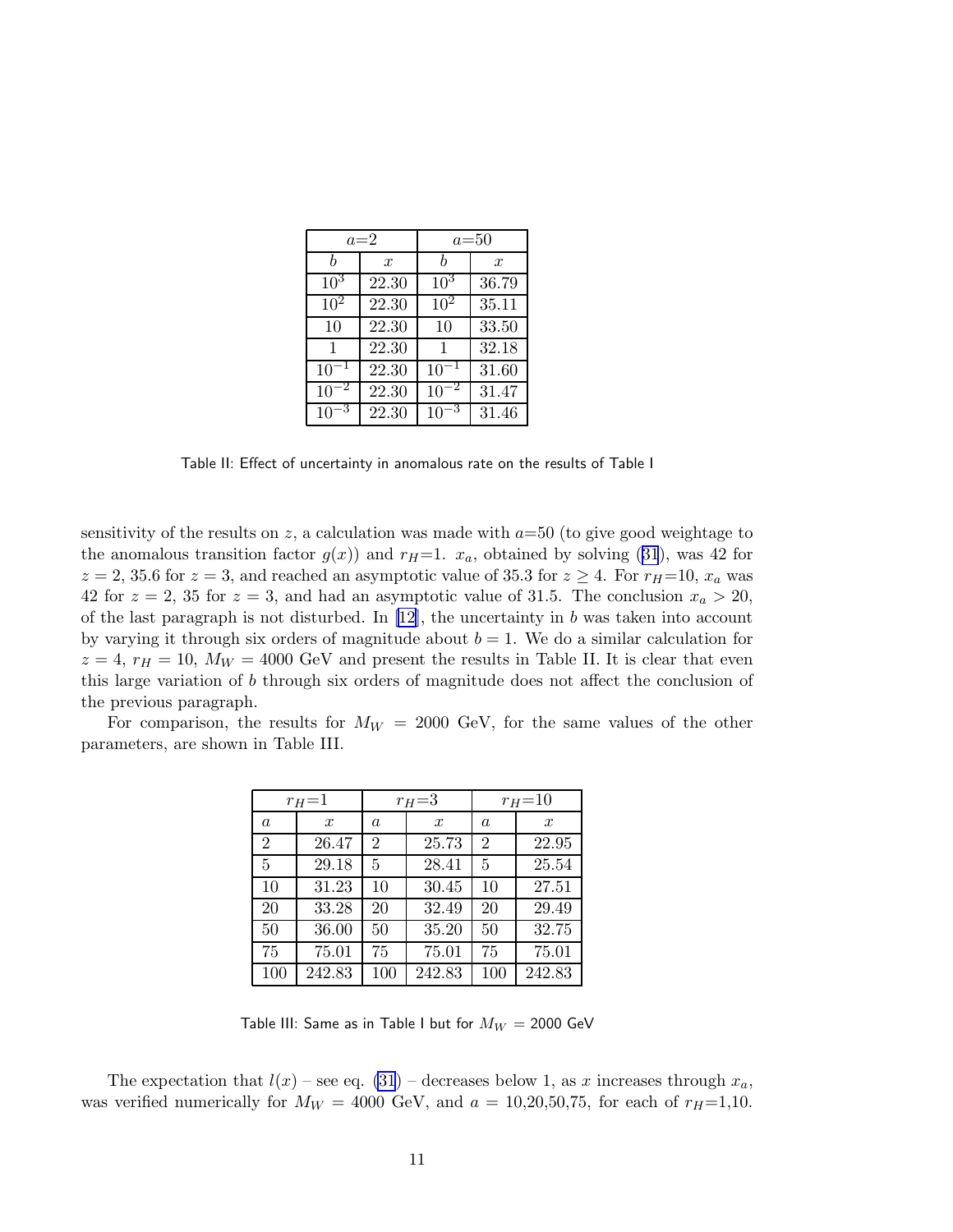|                 | $a=2$         | $a=50$    |                  |  |
|-----------------|---------------|-----------|------------------|--|
| h               | $\mathcal{X}$ | h         | $\boldsymbol{x}$ |  |
| $10^{3}$        | 22.30         | $10^3$    | 36.79            |  |
| 10 <sup>2</sup> | 22.30         | $10^2$    | 35.11            |  |
| 10              | 22.30         | 10        | 33.50            |  |
| 1               | 22.30         | 1         | 32.18            |  |
| $10^{-1}$       | 22.30         | $10^{-1}$ | 31.60            |  |
| 10              | 22.30         | 10        | 31.47            |  |
| 1 <sup>1</sup>  | 22.30         |           | 31.46            |  |

Table II: Effect of uncertainty in anomalous rate on the results of Table I

sensitivity of the results on z, a calculation was made with  $a=50$  (to give good weightage to theanomalous transition factor  $g(x)$  and  $r_H=1$ .  $x_a$ , obtained by solving ([31](#page-9-0)), was 42 for  $z = 2, 35.6$  for  $z = 3$ , and reached an asymptotic value of 35.3 for  $z \ge 4$ . For  $r_H = 10$ ,  $x_a$  was 42 for  $z = 2$ , 35 for  $z = 3$ , and had an asymptotic value of 31.5. The conclusion  $x_a > 20$ , of the last paragraph is not disturbed. In  $[12]$ , the uncertainty in b was taken into account by varying it through six orders of magnitude about  $b = 1$ . We do a similar calculation for  $z = 4$ ,  $r_H = 10$ ,  $M_W = 4000$  GeV and present the results in Table II. It is clear that even this large variation of b through six orders of magnitude does not affect the conclusion of the previous paragraph.

For comparison, the results for  $M_W = 2000$  GeV, for the same values of the other parameters, are shown in Table III.

| $r_H = 1$      |                  | $r_H = 3$      |               | $r_{H} = 10$   |                  |
|----------------|------------------|----------------|---------------|----------------|------------------|
| a              | $\boldsymbol{x}$ | a              | $\mathcal{X}$ | $\overline{a}$ | $\boldsymbol{x}$ |
| $\overline{2}$ | 26.47            | $\overline{2}$ | 25.73         | 2              | 22.95            |
| 5              | 29.18            | 5              | 28.41         | 5              | 25.54            |
| 10             | 31.23            | 10             | 30.45         | 10             | 27.51            |
| 20             | 33.28            | 20             | 32.49         | 20             | 29.49            |
| 50             | 36.00            | 50             | 35.20         | 50             | 32.75            |
| 75             | 75.01            | 75             | 75.01         | 75             | 75.01            |
| 100            | 242.83           | 100            | 242.83        | 100            | 242.83           |

Table III: Same as in Table I but for  $M_W = 2000$  GeV

The expectation that  $l(x)$  – see eq. [\(31](#page-9-0)) – decreases below 1, as x increases through  $x_a$ , was verified numerically for  $M_W = 4000$  GeV, and  $a = 10,20,50,75$ , for each of  $r_H=1,10$ .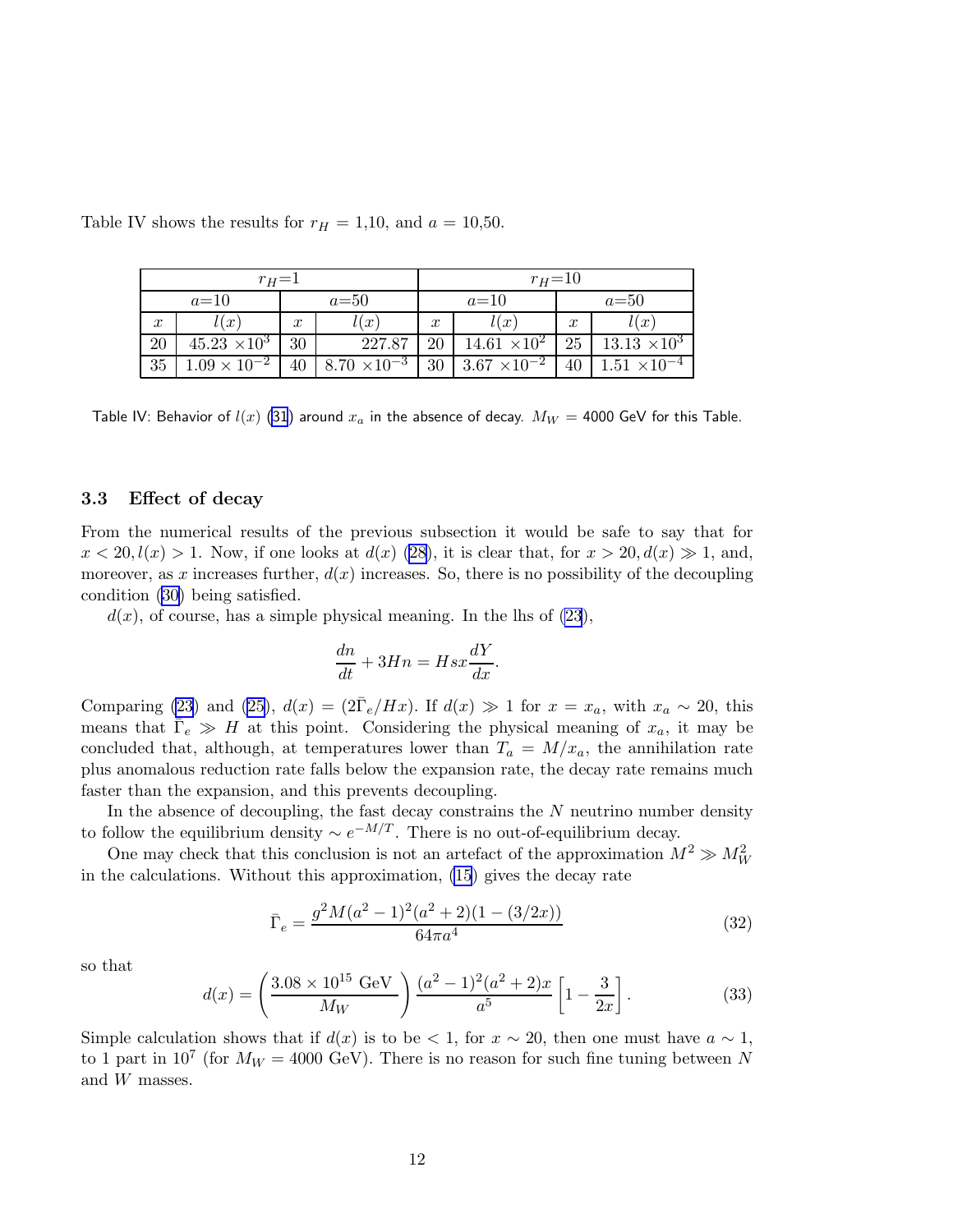| $r_H=1$          |                       |                  |                       | $r_{H} = 10$     |                       |                  |                       |
|------------------|-----------------------|------------------|-----------------------|------------------|-----------------------|------------------|-----------------------|
| $a=10$           |                       | $a=50$           |                       | $a=10$           |                       | $a=50$           |                       |
| $\boldsymbol{x}$ | l(x)                  | $\boldsymbol{x}$ | $\iota(x)$            | $\boldsymbol{x}$ | l(x)                  | $\boldsymbol{x}$ | l(x)                  |
| 20               | $45.23 \times 10^3$   | 30               | 227.87                | 20               | $14.61 \times 10^{2}$ | 25               | $13.13 \times 10^3$   |
| 35               | $1.09 \times 10^{-2}$ | 40               | $8.70 \times 10^{-3}$ | 30               | $3.67 \times 10^{-2}$ | 40               | $1.51 \times 10^{-4}$ |

Table IV shows the results for  $r_H = 1,10$ , and  $a = 10,50$ .

Table IV: Behavior of  $l(x)$  [\(31](#page-9-0)) around  $x_a$  in the absence of decay.  $M_W = 4000$  GeV for this Table.

#### 3.3 Effect of decay

From the numerical results of the previous subsection it would be safe to say that for  $x < 20, l(x) > 1$ . Now, if one looks at  $d(x)$  [\(28\)](#page-8-0), it is clear that, for  $x > 20, d(x) \gg 1$ , and, moreover, as x increases further,  $d(x)$  increases. So, there is no possibility of the decoupling condition [\(30\)](#page-8-0) being satisfied.

 $d(x)$ , of course, has a simple physical meaning. In the lhs of  $(23)$ ,

$$
\frac{dn}{dt}+3Hn=Hsx\frac{dY}{dx}.
$$

Comparing [\(23](#page-7-0)) and [\(25\)](#page-8-0),  $d(x) = (2\overline{\Gamma}_e/Hx)$ . If  $d(x) \gg 1$  for  $x = x_a$ , with  $x_a \sim 20$ , this means that  $\bar{\Gamma}_e \gg H$  at this point. Considering the physical meaning of  $x_a$ , it may be concluded that, although, at temperatures lower than  $T_a = M/x_a$ , the annihilation rate plus anomalous reduction rate falls below the expansion rate, the decay rate remains much faster than the expansion, and this prevents decoupling.

In the absence of decoupling, the fast decay constrains the  $N$  neutrino number density to follow the equilibrium density  $\sim e^{-M/T}$ . There is no out-of-equilibrium decay.

One may check that this conclusion is not an artefact of the approximation  $M^2 \gg M_W^2$ in the calculations. Without this approximation, [\(15](#page-5-0)) gives the decay rate

$$
\bar{\Gamma}_e = \frac{g^2 M (a^2 - 1)^2 (a^2 + 2)(1 - (3/2x))}{64\pi a^4} \tag{32}
$$

so that

$$
d(x) = \left(\frac{3.08 \times 10^{15} \text{ GeV}}{M_W}\right) \frac{(a^2 - 1)^2 (a^2 + 2)x}{a^5} \left[1 - \frac{3}{2x}\right].
$$
 (33)

Simple calculation shows that if  $d(x)$  is to be < 1, for  $x \sim 20$ , then one must have  $a \sim 1$ , to 1 part in  $10^7$  (for  $M_W = 4000$  GeV). There is no reason for such fine tuning between N and W masses.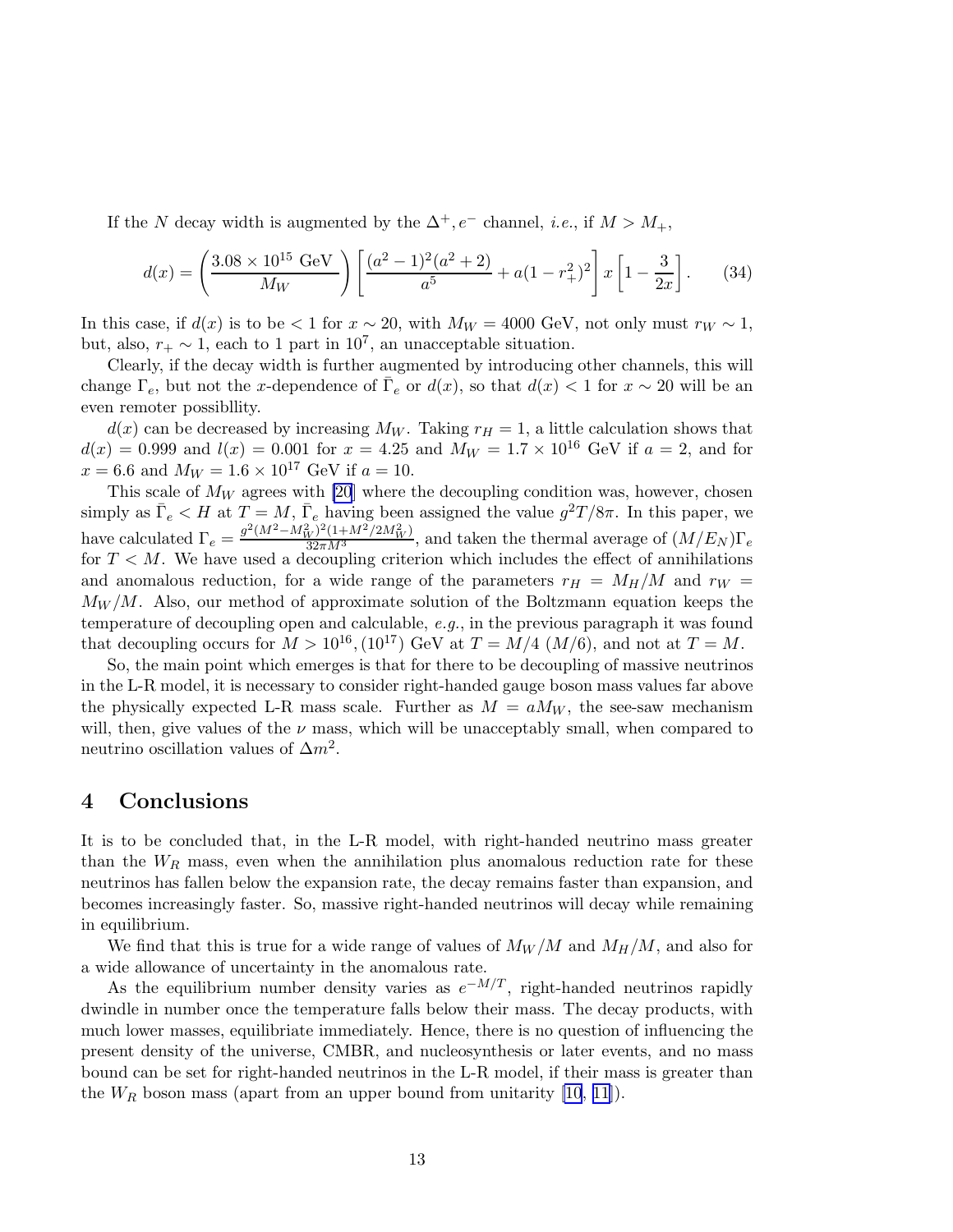If the N decay width is augmented by the  $\Delta^+, e^-$  channel, *i.e.*, if  $M > M_+$ ,

$$
d(x) = \left(\frac{3.08 \times 10^{15} \text{ GeV}}{M_W}\right) \left[\frac{(a^2 - 1)^2 (a^2 + 2)}{a^5} + a(1 - r_+^2)^2\right] x \left[1 - \frac{3}{2x}\right].
$$
 (34)

In this case, if  $d(x)$  is to be < 1 for  $x \sim 20$ , with  $M_W = 4000$  GeV, not only must  $r_W \sim 1$ , but, also,  $r_+ \sim 1$ , each to 1 part in 10<sup>7</sup>, an unacceptable situation.

Clearly, if the decay width is further augmented by introducing other channels, this will change  $\Gamma_e$ , but not the x-dependence of  $\overline{\Gamma}_e$  or  $d(x)$ , so that  $d(x) < 1$  for  $x \sim 20$  will be an even remoter possibllity.

 $d(x)$  can be decreased by increasing  $M_W$ . Taking  $r_H = 1$ , a little calculation shows that  $d(x) = 0.999$  and  $l(x) = 0.001$  for  $x = 4.25$  and  $M_W = 1.7 \times 10^{16}$  GeV if  $a = 2$ , and for  $x = 6.6$  and  $M_W = 1.6 \times 10^{17}$  GeV if  $a = 10$ .

This scale of  $M_W$  agrees with [\[20](#page-14-0)] where the decoupling condition was, however, chosen simply as  $\bar{\Gamma}_e < H$  at  $T = M$ ,  $\bar{\Gamma}_e$  having been assigned the value  $g^2T/8\pi$ . In this paper, we have calculated  $\Gamma_e = \frac{g^2 (M^2 - M_W^2)^2 (1 + M^2 / 2M_W^2)}{32 \pi M^3}$ , and taken the thermal average of  $(M/E_N)\Gamma_e$ for  $T < M$ . We have used a decoupling criterion which includes the effect of annihilations and anomalous reduction, for a wide range of the parameters  $r_H = M_H/M$  and  $r_W =$  $M_W/M$ . Also, our method of approximate solution of the Boltzmann equation keeps the temperature of decoupling open and calculable, e.g., in the previous paragraph it was found that decoupling occurs for  $M > 10^{16}$ ,  $(10^{17})$  GeV at  $T = M/4$   $(M/6)$ , and not at  $T = M$ .

So, the main point which emerges is that for there to be decoupling of massive neutrinos in the L-R model, it is necessary to consider right-handed gauge boson mass values far above the physically expected L-R mass scale. Further as  $M = aM_W$ , the see-saw mechanism will, then, give values of the  $\nu$  mass, which will be unacceptably small, when compared to neutrino oscillation values of  $\Delta m^2$ .

### 4 Conclusions

It is to be concluded that, in the L-R model, with right-handed neutrino mass greater than the  $W_R$  mass, even when the annihilation plus anomalous reduction rate for these neutrinos has fallen below the expansion rate, the decay remains faster than expansion, and becomes increasingly faster. So, massive right-handed neutrinos will decay while remaining in equilibrium.

We find that this is true for a wide range of values of  $M_W/M$  and  $M_H/M$ , and also for a wide allowance of uncertainty in the anomalous rate.

As the equilibrium number density varies as  $e^{-M/T}$ , right-handed neutrinos rapidly dwindle in number once the temperature falls below their mass. The decay products, with much lower masses, equilibriate immediately. Hence, there is no question of influencing the present density of the universe, CMBR, and nucleosynthesis or later events, and no mass bound can be set for right-handed neutrinos in the L-R model, if their mass is greater than the  $W_R$  boson mass (apart from an upper bound from unitarity [\[10](#page-13-0), [11\]](#page-13-0)).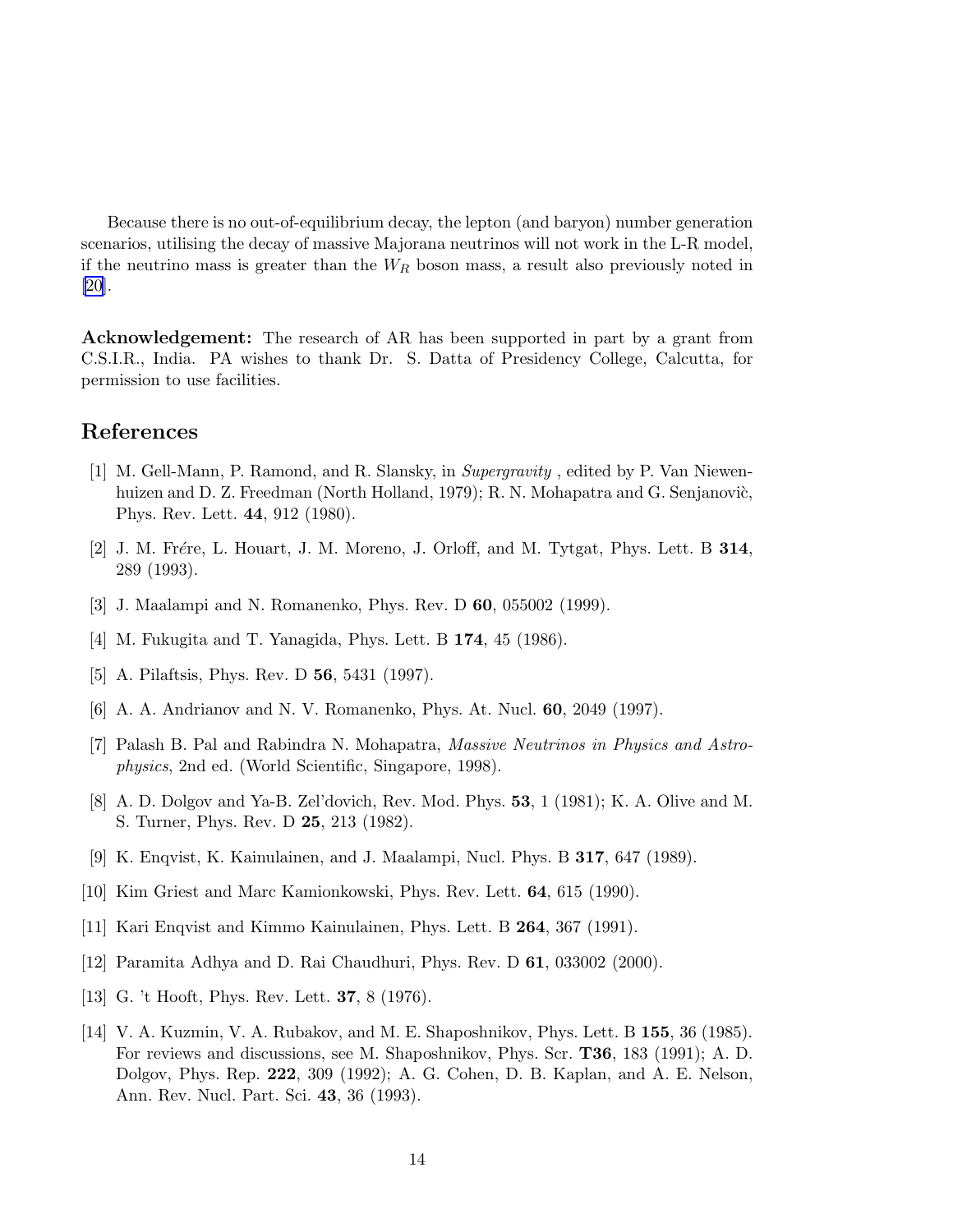<span id="page-13-0"></span>Because there is no out-of-equilibrium decay, the lepton (and baryon) number generation scenarios, utilising the decay of massive Majorana neutrinos will not work in the L-R model, if the neutrino mass is greater than the  $W_R$  boson mass, a result also previously noted in [\[20](#page-14-0)].

Acknowledgement: The research of AR has been supported in part by a grant from C.S.I.R., India. PA wishes to thank Dr. S. Datta of Presidency College, Calcutta, for permission to use facilities.

## References

- [1] M. Gell-Mann, P. Ramond, and R. Slansky, in Supergravity , edited by P. Van Niewenhuizen and D. Z. Freedman (North Holland, 1979); R. N. Mohapatra and G. Senjanovic, Phys. Rev. Lett. 44, 912 (1980).
- [2] J. M. Frére, L. Houart, J. M. Moreno, J. Orloff, and M. Tytgat, Phys. Lett. B  $314$ , 289 (1993).
- [3] J. Maalampi and N. Romanenko, Phys. Rev. D 60, 055002 (1999).
- [4] M. Fukugita and T. Yanagida, Phys. Lett. B 174, 45 (1986).
- [5] A. Pilaftsis, Phys. Rev. D **56**, 5431 (1997).
- [6] A. A. Andrianov and N. V. Romanenko, Phys. At. Nucl. 60, 2049 (1997).
- [7] Palash B. Pal and Rabindra N. Mohapatra, Massive Neutrinos in Physics and Astrophysics, 2nd ed. (World Scientific, Singapore, 1998).
- [8] A. D. Dolgov and Ya-B. Zel'dovich, Rev. Mod. Phys. 53, 1 (1981); K. A. Olive and M. S. Turner, Phys. Rev. D 25, 213 (1982).
- [9] K. Enqvist, K. Kainulainen, and J. Maalampi, Nucl. Phys. B 317, 647 (1989).
- [10] Kim Griest and Marc Kamionkowski, Phys. Rev. Lett. 64, 615 (1990).
- [11] Kari Enqvist and Kimmo Kainulainen, Phys. Lett. B 264, 367 (1991).
- [12] Paramita Adhya and D. Rai Chaudhuri, Phys. Rev. D 61, 033002 (2000).
- [13] G. 't Hooft, Phys. Rev. Lett. 37, 8 (1976).
- [14] V. A. Kuzmin, V. A. Rubakov, and M. E. Shaposhnikov, Phys. Lett. B 155, 36 (1985). For reviews and discussions, see M. Shaposhnikov, Phys. Scr. T36, 183 (1991); A. D. Dolgov, Phys. Rep. 222, 309 (1992); A. G. Cohen, D. B. Kaplan, and A. E. Nelson, Ann. Rev. Nucl. Part. Sci. 43, 36 (1993).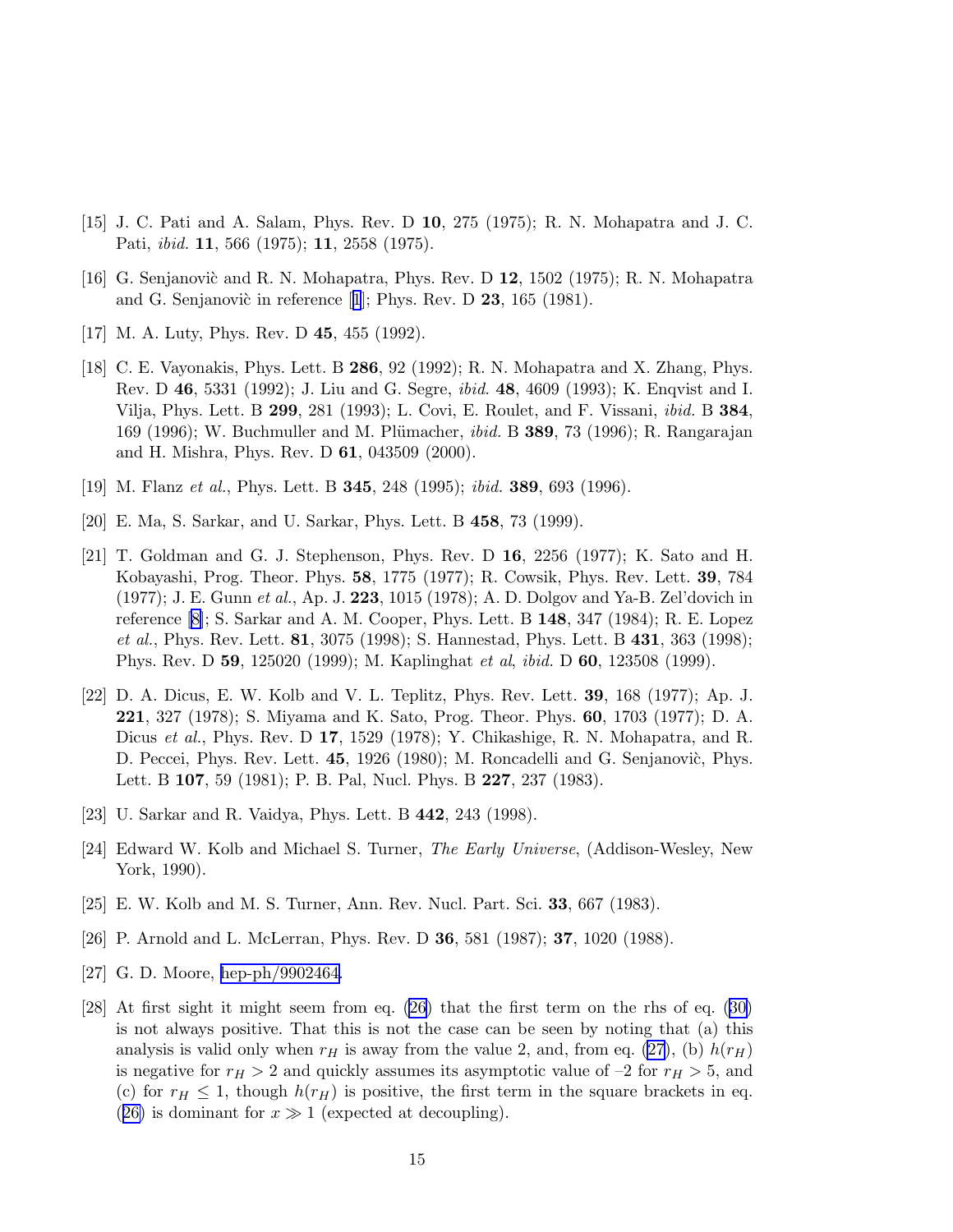- <span id="page-14-0"></span>[15] J. C. Pati and A. Salam, Phys. Rev. D 10, 275 (1975); R. N. Mohapatra and J. C. Pati, ibid. 11, 566 (1975); 11, 2558 (1975).
- [16] G. Senjanovic and R. N. Mohapatra, Phys. Rev. D 12, 1502 (1975); R. N. Mohapatra andG. Senjanovic in reference [[1](#page-13-0)]; Phys. Rev. D  $23$ , 165 (1981).
- [17] M. A. Luty, Phys. Rev. D 45, 455 (1992).
- [18] C. E. Vayonakis, Phys. Lett. B 286, 92 (1992); R. N. Mohapatra and X. Zhang, Phys. Rev. D 46, 5331 (1992); J. Liu and G. Segre, ibid. 48, 4609 (1993); K. Enqvist and I. Vilja, Phys. Lett. B 299, 281 (1993); L. Covi, E. Roulet, and F. Vissani, ibid. B 384, 169 (1996); W. Buchmuller and M. Plümacher, *ibid.* B **389**, 73 (1996); R. Rangarajan and H. Mishra, Phys. Rev. D 61, 043509 (2000).
- [19] M. Flanz et al., Phys. Lett. B 345, 248 (1995); ibid. 389, 693 (1996).
- [20] E. Ma, S. Sarkar, and U. Sarkar, Phys. Lett. B 458, 73 (1999).
- [21] T. Goldman and G. J. Stephenson, Phys. Rev. D 16, 2256 (1977); K. Sato and H. Kobayashi, Prog. Theor. Phys. 58, 1775 (1977); R. Cowsik, Phys. Rev. Lett. 39, 784 (1977); J. E. Gunn et al., Ap. J. 223, 1015 (1978); A. D. Dolgov and Ya-B. Zel'dovich in reference [\[8\]](#page-13-0); S. Sarkar and A. M. Cooper, Phys. Lett. B 148, 347 (1984); R. E. Lopez et al., Phys. Rev. Lett. 81, 3075 (1998); S. Hannestad, Phys. Lett. B 431, 363 (1998); Phys. Rev. D 59, 125020 (1999); M. Kaplinghat et al, ibid. D 60, 123508 (1999).
- [22] D. A. Dicus, E. W. Kolb and V. L. Teplitz, Phys. Rev. Lett. 39, 168 (1977); Ap. J. 221, 327 (1978); S. Miyama and K. Sato, Prog. Theor. Phys. 60, 1703 (1977); D. A. Dicus et al., Phys. Rev. D 17, 1529 (1978); Y. Chikashige, R. N. Mohapatra, and R. D. Peccei, Phys. Rev. Lett. 45, 1926 (1980); M. Roncadelli and G. Senjanovic, Phys. Lett. B 107, 59 (1981); P. B. Pal, Nucl. Phys. B 227, 237 (1983).
- [23] U. Sarkar and R. Vaidya, Phys. Lett. B 442, 243 (1998).
- [24] Edward W. Kolb and Michael S. Turner, The Early Universe, (Addison-Wesley, New York, 1990).
- [25] E. W. Kolb and M. S. Turner, Ann. Rev. Nucl. Part. Sci. 33, 667 (1983).
- [26] P. Arnold and L. McLerran, Phys. Rev. D 36, 581 (1987); 37, 1020 (1988).
- [27] G. D. Moore, [hep-ph/9902464.](http://arxiv.org/abs/hep-ph/9902464)
- [28] At first sight it might seem from eq. [\(26\)](#page-8-0) that the first term on the rhs of eq.([30\)](#page-8-0) is not always positive. That this is not the case can be seen by noting that (a) this analysis is valid only when  $r_H$  is away from the value 2, and, from eq. [\(27](#page-8-0)), (b)  $h(r_H)$ is negative for  $r_H > 2$  and quickly assumes its asymptotic value of  $-2$  for  $r_H > 5$ , and (c) for  $r_H \leq 1$ , though  $h(r_H)$  is positive, the first term in the square brackets in eq. ([26\)](#page-8-0) is dominant for  $x \gg 1$  (expected at decoupling).